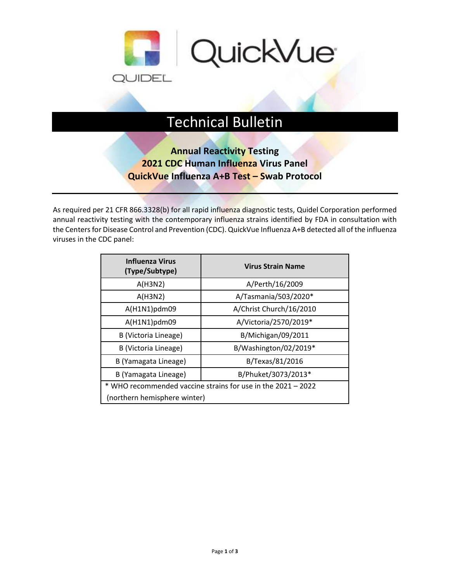

## Technical Bulletin

## **Annual Reactivity Testing 2021 CDC Human Influenza Virus Panel QuickVue Influenza A+B Test – Swab Protocol**

As required per 21 CFR 866.3328(b) for all rapid influenza diagnostic tests, Quidel Corporation performed annual reactivity testing with the contemporary influenza strains identified by FDA in consultation with the Centers for Disease Control and Prevention (CDC). QuickVue Influenza A+B detected all of the influenza viruses in the CDC panel:

| <b>Influenza Virus</b><br>(Type/Subtype)                     | <b>Virus Strain Name</b> |  |  |  |
|--------------------------------------------------------------|--------------------------|--|--|--|
| A(H3N2)                                                      | A/Perth/16/2009          |  |  |  |
| A(H3N2)                                                      | A/Tasmania/503/2020*     |  |  |  |
| A(H1N1)pdm09                                                 | A/Christ Church/16/2010  |  |  |  |
| A(H1N1)pdm09                                                 | A/Victoria/2570/2019*    |  |  |  |
| B (Victoria Lineage)                                         | B/Michigan/09/2011       |  |  |  |
| B (Victoria Lineage)                                         | B/Washington/02/2019*    |  |  |  |
| B (Yamagata Lineage)                                         | B/Texas/81/2016          |  |  |  |
| B (Yamagata Lineage)                                         | B/Phuket/3073/2013*      |  |  |  |
| * WHO recommended vaccine strains for use in the 2021 - 2022 |                          |  |  |  |
| (northern hemisphere winter)                                 |                          |  |  |  |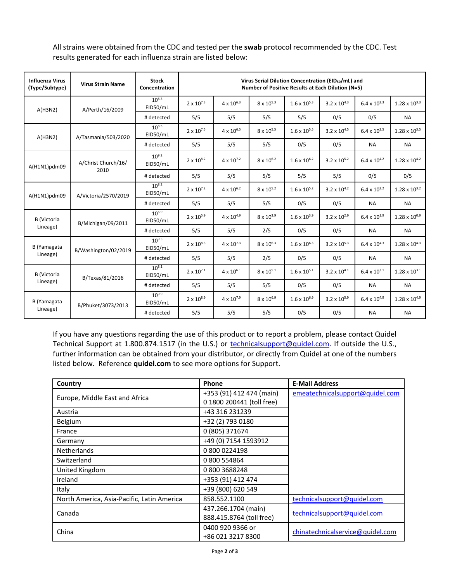All strains were obtained from the CDC and tested per the **swab** protocol recommended by the CDC. Test results generated for each influenza strain are listed below:

| <b>Influenza Virus</b><br>(Type/Subtype) | <b>Virus Strain Name</b>    | <b>Stock</b><br>Concentration | Virus Serial Dilution Concentration (EID <sub>50</sub> /mL) and<br>Number of Positive Results at Each Dilution (N=5) |                     |                     |                       |                       |                       |                        |
|------------------------------------------|-----------------------------|-------------------------------|----------------------------------------------------------------------------------------------------------------------|---------------------|---------------------|-----------------------|-----------------------|-----------------------|------------------------|
| A(H3N2)                                  | A/Perth/16/2009             | $10^{8.3}$<br>EID50/mL        | $2 \times 10^{7.3}$                                                                                                  | $4 \times 10^{6.3}$ | $8 \times 10^{5.3}$ | $1.6 \times 10^{5.3}$ | $3.2 \times 10^{4.3}$ | $6.4 \times 10^{3.3}$ | $1.28 \times 10^{3.3}$ |
|                                          |                             | # detected                    | 5/5                                                                                                                  | 5/5                 | 5/5                 | 5/5                   | 0/5                   | 0/5                   | <b>NA</b>              |
| A(H3N2)                                  | A/Tasmania/503/2020         | $10^{8.5}$<br>EID50/mL        | $2 \times 10^{7.5}$                                                                                                  | $4 \times 10^{6.5}$ | $8 \times 10^{5.5}$ | $1.6 \times 10^{5.5}$ | $3.2 \times 10^{4.5}$ | $6.4 \times 10^{3.5}$ | $1.28 \times 10^{3.5}$ |
|                                          |                             | # detected                    | 5/5                                                                                                                  | 5/5                 | 5/5                 | 0/5                   | 0/5                   | <b>NA</b>             | <b>NA</b>              |
| A(H1N1)pdm09                             | A/Christ Church/16/<br>2010 | $10^{9.2}$<br>EID50/mL        | $2 \times 10^{8.2}$                                                                                                  | $4 \times 10^{7.2}$ | $8 \times 10^{6.2}$ | $1.6 \times 10^{6.2}$ | $3.2 \times 10^{5.2}$ | $6.4 \times 10^{4.2}$ | $1.28 \times 10^{4.2}$ |
|                                          |                             | # detected                    | 5/5                                                                                                                  | 5/5                 | 5/5                 | 5/5                   | 5/5                   | 0/5                   | 0/5                    |
| A(H1N1)pdm09                             | A/Victoria/2570/2019        | $10^{8.2}$<br>EID50/mL        | $2 \times 10^{7.2}$                                                                                                  | $4 \times 10^{6.2}$ | $8 \times 10^{5.2}$ | $1.6 \times 10^{5.2}$ | $3.2 \times 10^{4.2}$ | $6.4 \times 10^{3.2}$ | $1.28 \times 10^{3.2}$ |
|                                          |                             | # detected                    | 5/5                                                                                                                  | 5/5                 | 5/5                 | 0/5                   | 0/5                   | <b>NA</b>             | <b>NA</b>              |
| <b>B</b> (Victoria<br>Lineage)           | B/Michigan/09/2011          | $10^{6.9}$<br>EID50/mL        | $2 \times 10^{5.9}$                                                                                                  | $4 \times 10^{4.9}$ | $8 \times 10^{3.9}$ | $1.6 \times 10^{3.9}$ | $3.2 \times 10^{2.9}$ | $6.4 \times 10^{1.9}$ | $1.28 \times 10^{0.9}$ |
|                                          |                             | # detected                    | 5/5                                                                                                                  | 5/5                 | 2/5                 | 0/5                   | 0/5                   | <b>NA</b>             | <b>NA</b>              |
| B (Yamagata<br>Lineage)                  | B/Washington/02/2019        | $10^{9.3}$<br>EID50/mL        | $2 \times 10^{8.3}$                                                                                                  | $4 \times 10^{7.3}$ | $8 \times 10^{6.3}$ | $1.6 \times 10^{6.3}$ | $3.2 \times 10^{5.3}$ | $6.4 \times 10^{4.3}$ | $1.28 \times 10^{4.3}$ |
|                                          |                             | # detected                    | 5/5                                                                                                                  | 5/5                 | 2/5                 | 0/5                   | 0/5                   | <b>NA</b>             | <b>NA</b>              |
| <b>B</b> (Victoria<br>Lineage)           | B/Texas/81/2016             | $10^{8.1}$<br>EID50/mL        | $2 \times 10^{7.1}$                                                                                                  | $4 \times 10^{6.1}$ | $8 \times 10^{5.1}$ | $1.6 \times 10^{5.1}$ | $3.2 \times 10^{4.1}$ | $6.4 \times 10^{3.1}$ | $1.28 \times 10^{3.1}$ |
|                                          |                             | # detected                    | 5/5                                                                                                                  | 5/5                 | 5/5                 | 0/5                   | 0/5                   | <b>NA</b>             | <b>NA</b>              |
| B (Yamagata<br>Lineage)                  | B/Phuket/3073/2013          | $10^{9.9}$<br>EID50/mL        | $2 \times 10^{8.9}$                                                                                                  | $4 \times 10^{7.9}$ | $8 \times 10^{6.9}$ | $1.6 \times 10^{6.9}$ | $3.2 \times 10^{5.9}$ | $6.4 \times 10^{4.9}$ | $1.28 \times 10^{4.9}$ |
|                                          |                             | # detected                    | 5/5                                                                                                                  | 5/5                 | 5/5                 | 0/5                   | 0/5                   | <b>NA</b>             | <b>NA</b>              |

If you have any questions regarding the use of this product or to report a problem, please contact Quidel Technical Support at 1.800.874.1517 (in the U.S.) or [technicalsupport@quidel.com.](mailto:technicalsupport@quidel.com) If outside the U.S., further information can be obtained from your distributor, or directly from Quidel at one of the numbers listed below. Reference **quidel.com** to see more options for Support.

| Country                                    | Phone                     | <b>E-Mail Address</b>            |  |  |  |
|--------------------------------------------|---------------------------|----------------------------------|--|--|--|
| Europe, Middle East and Africa             | +353 (91) 412 474 (main)  | emeatechnicalsupport@quidel.com  |  |  |  |
|                                            | 0 1800 200441 (toll free) |                                  |  |  |  |
| Austria                                    | +43 316 231239            |                                  |  |  |  |
| Belgium                                    | +32 (2) 793 0180          |                                  |  |  |  |
| France                                     | 0 (805) 371674            |                                  |  |  |  |
| Germany                                    | +49 (0) 7154 1593912      |                                  |  |  |  |
| <b>Netherlands</b>                         | 0 800 0224198             |                                  |  |  |  |
| Switzerland                                | 0 800 554864              |                                  |  |  |  |
| United Kingdom                             | 08003688248               |                                  |  |  |  |
| Ireland                                    | +353 (91) 412 474         |                                  |  |  |  |
| Italy                                      | +39 (800) 620 549         |                                  |  |  |  |
| North America, Asia-Pacific, Latin America | 858.552.1100              | technicalsupport@quidel.com      |  |  |  |
|                                            | 437.266.1704 (main)       |                                  |  |  |  |
| Canada                                     | 888.415.8764 (toll free)  | technicalsupport@quidel.com      |  |  |  |
| China                                      | 0400 920 9366 or          |                                  |  |  |  |
|                                            | +86 021 3217 8300         | chinatechnicalservice@quidel.com |  |  |  |